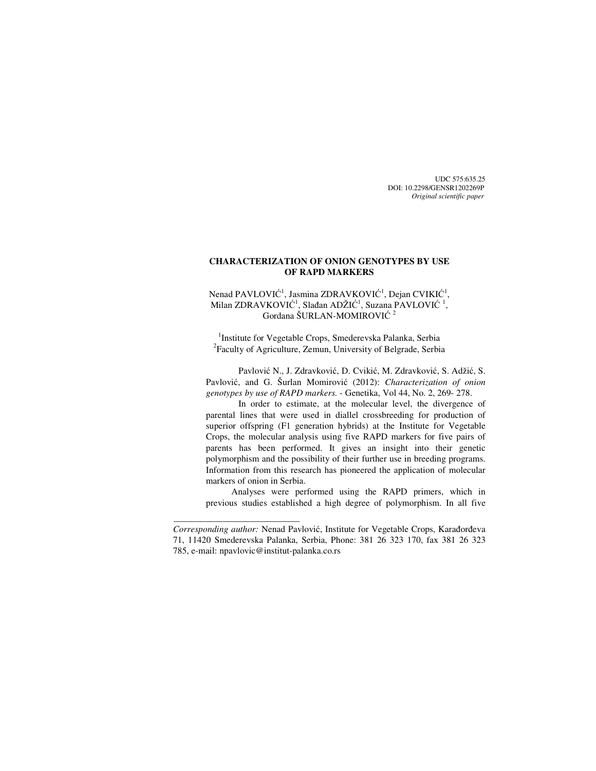UDC 575:635.25 DOI: 10.2298/GENSR1202269P *Original scientific paper*

## **CHARACTERIZATION OF ONION GENOTYPES BY USE OF RAPD MARKERS**

Nenad PAVLOVIĆ<sup>1</sup>, Jasmina ZDRAVKOVIĆ<sup>1</sup>, Dejan CVIKIĆ<sup>1</sup>, Milan ZDRAVKOVIĆ<sup>1</sup>, Slađan ADŽIĆ<sup>1</sup>, Suzana PAVLOVIĆ <sup>1</sup>, Gordana ŠURLAN-MOMIROVIĆ<sup>2</sup>

<sup>1</sup>Institute for Vegetable Crops, Smederevska Palanka, Serbia <sup>2</sup>Faculty of Agriculture, Zemun, University of Belgrade, Serbia

Pavlović N., J. Zdravković, D. Cvikić, M. Zdravković, S. Adžić, S. Pavlović, and G. Šurlan Momirović (2012): *Characterization of onion genotypes by use of RAPD markers.* - Genetika, Vol 44, No. 2, 269- 278.

In order to estimate, at the molecular level, the divergence of parental lines that were used in diallel crossbreeding for production of superior offspring (F1 generation hybrids) at the Institute for Vegetable Crops, the molecular analysis using five RAPD markers for five pairs of parents has been performed. It gives an insight into their genetic polymorphism and the possibility of their further use in breeding programs. Information from this research has pioneered the application of molecular markers of onion in Serbia.

Analyses were performed using the RAPD primers, which in previous studies established a high degree of polymorphism. In all five

\_\_\_\_\_\_\_\_\_\_\_\_\_\_\_\_\_\_\_\_\_\_\_\_\_\_\_\_

*Corresponding author:* Nenad Pavlović, Institute for Vegetable Crops, Karađorđeva 71, 11420 Smederevska Palanka, Serbia, Phone: 381 26 323 170, fax 381 26 323 785, e-mail: npavlovic@institut-palanka.co.rs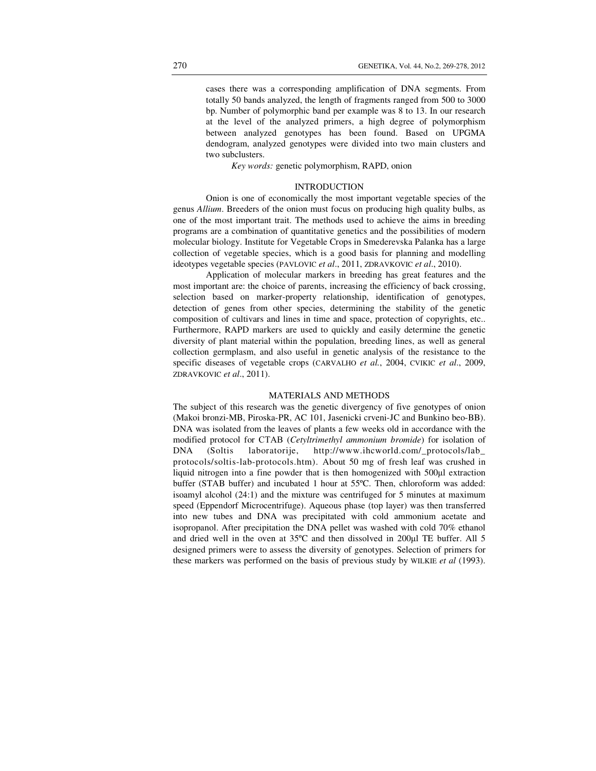cases there was a corresponding amplification of DNA segments. From totally 50 bands analyzed, the length of fragments ranged from 500 to 3000 bp. Number of polymorphic band per example was 8 to 13. In our research at the level of the analyzed primers, a high degree of polymorphism between analyzed genotypes has been found. Based on UPGMA dendogram, analyzed genotypes were divided into two main clusters and two subclusters.

*Key words:* genetic polymorphism, RAPD, onion

### **INTRODUCTION**

Onion is one of economically the most important vegetable species of the genus *Allium*. Breeders of the onion must focus on producing high quality bulbs, as one of the most important trait. The methods used to achieve the aims in breeding programs are a combination of quantitative genetics and the possibilities of modern molecular biology. Institute for Vegetable Crops in Smederevska Palanka has a large collection of vegetable species, which is a good basis for planning and modelling ideotypes vegetable species (PAVLOVIC *et al*., 2011, ZDRAVKOVIC *et al*., 2010).

Application of molecular markers in breeding has great features and the most important are: the choice of parents, increasing the efficiency of back crossing, selection based on marker-property relationship, identification of genotypes, detection of genes from other species, determining the stability of the genetic composition of cultivars and lines in time and space, protection of copyrights, etc.. Furthermore, RAPD markers are used to quickly and easily determine the genetic diversity of plant material within the population, breeding lines, as well as general collection germplasm, and also useful in genetic analysis of the resistance to the specific diseases of vegetable crops (CARVALHO *et al.*, 2004, CVIKIC *et al*., 2009, ZDRAVKOVIC *et al*., 2011).

## MATERIALS AND METHODS

The subject of this research was the genetic divergency of five genotypes of onion (Makoi bronzi-MB, Piroska-PR, AC 101, Jasenicki crveni-JC and Bunkino beo-BB). DNA was isolated from the leaves of plants a few weeks old in accordance with the modified protocol for СТАВ (*Cetyltrimethyl ammonium bromide*) for isolation of DNA (Soltis laboratorije, http://www.ihcworld.com/\_protocols/lab\_ protocols/soltis-lab-protocols.htm). About 50 mg of fresh leaf was crushed in liquid nitrogen into a fine powder that is then homogenized with 500µl extraction buffer (STAB buffer) and incubated 1 hour at 55ºC. Then, chloroform was added: isoamyl alcohol (24:1) and the mixture was centrifuged for 5 minutes at maximum speed (Eppendorf Microcentrifuge). Aqueous phase (top layer) was then transferred into new tubes and DNA was precipitated with cold ammonium acetate and isopropanol. After precipitation the DNA pellet was washed with cold 70% ethanol and dried well in the oven at 35ºC and then dissolved in 200µl TE buffer. All 5 designed primers were to assess the diversity of genotypes. Selection of primers for these markers was performed on the basis of previous study by WILKIE *et al* (1993).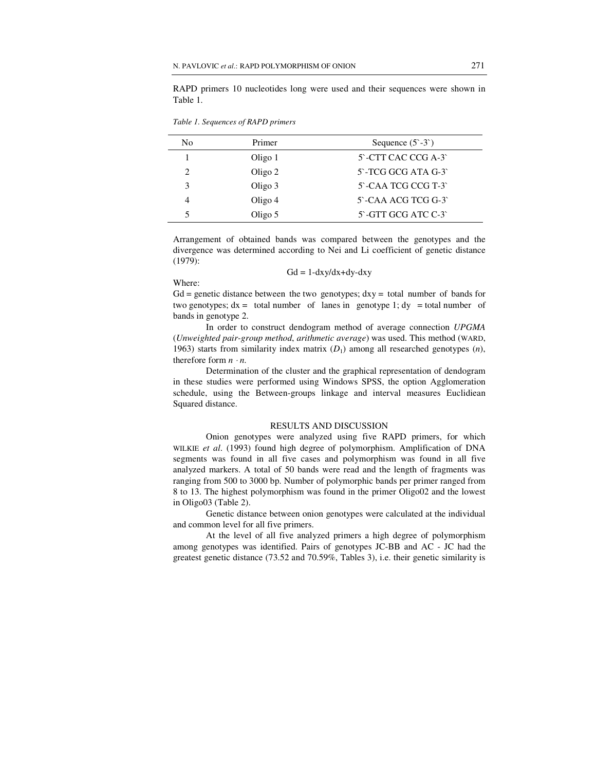RAPD primers 10 nucleotides long were used and their sequences were shown in Table 1.

| No             | Primer  | Sequence $(5^{\circ} - 3^{\circ})$ |
|----------------|---------|------------------------------------|
|                | Oligo 1 | 5 - CTT CAC CCG A-3                |
| $\mathfrak{D}$ | Oligo 2 | 5'-TCG GCG ATA G-3'                |
| 3              | Oligo 3 | 5 - CAA TCG CCG T-3                |
| 4              | Oligo 4 | 5 - CAA ACG TCG G-3                |
|                | Oligo 5 | 5'-GTT GCG ATC C-3'                |
|                |         |                                    |

*Table 1. Sequences of RAPD primers* 

Arrangement of obtained bands was compared between the genotypes and the divergence was determined according to Nei and Li coefficient of genetic distance (1979):

$$
Gd = 1 \text{-}dxy/dx + dy \text{-}dxy
$$

Where:

 $Gd$  = genetic distance between the two genotypes;  $dxy =$  total number of bands for two genotypes;  $dx =$  total number of lanes in genotype 1;  $dy =$  total number of bands in genotype 2.

In order to construct dendogram method of average connection *UPGMA* (*Unweighted pair-group method*, *arithmetic average*) was used. This method (WARD, 1963) starts from similarity index matrix  $(D_1)$  among all researched genotypes  $(n)$ , therefore form  $n \cdot n$ .

Determination of the cluster and the graphical representation of dendogram in these studies were performed using Windows SPSS, the option Agglomeration schedule, using the Between-groups linkage and interval measures Euclidiean Squared distance.

## RESULTS AND DISCUSSION

Onion genotypes were analyzed using five RAPD primers, for which WILKIE *et al*. (1993) found high degree of polymorphism. Amplification of DNA segments was found in all five cases and polymorphism was found in all five analyzed markers. A total of 50 bands were read and the length of fragments was ranging from 500 to 3000 bp. Number of polymorphic bands per primer ranged from 8 to 13. The highest polymorphism was found in the primer Oligo02 and the lowest in Oligo03 (Table 2).

Genetic distance between onion genotypes were calculated at the individual and common level for all five primers.

At the level of all five analyzed primers a high degree of polymorphism among genotypes was identified. Pairs of genotypes JC-BB and AC - JC had the greatest genetic distance (73.52 and 70.59%, Tables 3), i.e. their genetic similarity is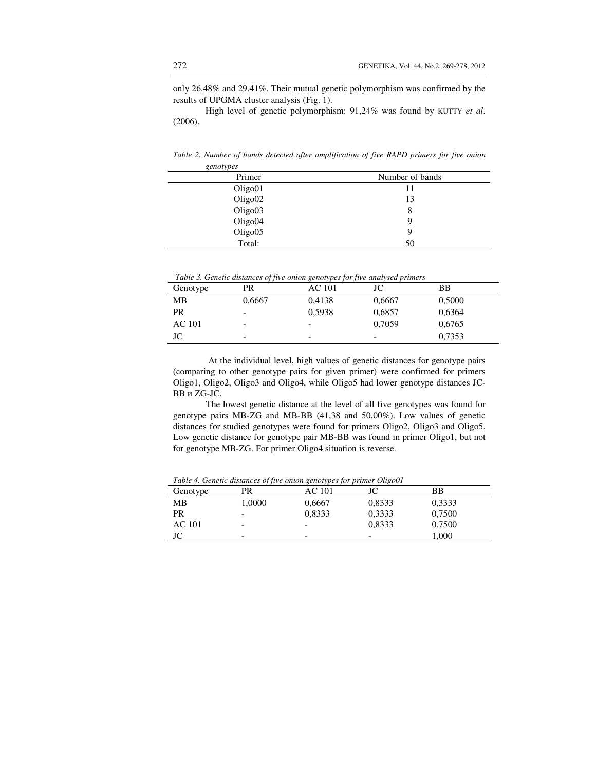only 26.48% and 29.41%. Their mutual genetic polymorphism was confirmed by the results of UPGMA cluster analysis (Fig. 1).

High level of genetic polymorphism: 91,24% was found by KUTTY *et al*. (2006).

| Primer              | Number of bands |
|---------------------|-----------------|
| Oligo01             |                 |
| Oligo <sub>02</sub> | 13              |
| Oligo03             | 8               |
| Oligo04             | 9               |
| Oligo05             | 9               |
| Total:              | 50              |

*Table 2. Number of bands detected after amplification of five RAPD primers for five onion genotypes* 

| Table 3. Genetic distances of five onion genotypes for five analysed primers |  |  |
|------------------------------------------------------------------------------|--|--|
|                                                                              |  |  |
|                                                                              |  |  |
|                                                                              |  |  |

| Genotype | PR     | AC 101                   | JC                       | <b>BB</b> |
|----------|--------|--------------------------|--------------------------|-----------|
| MВ       | 0,6667 | 0,4138                   | 0,6667                   | 0,5000    |
| PR.      | -      | 0,5938                   | 0,6857                   | 0,6364    |
| AC 101   | -      | $\overline{\phantom{a}}$ | 0.7059                   | 0,6765    |
| JC       | -      | $\overline{\phantom{a}}$ | $\overline{\phantom{a}}$ | 0,7353    |

 At the individual level, high values of genetic distances for genotype pairs (comparing to other genotype pairs for given primer) were confirmed for primers Oligo1, Oligo2, Oligo3 and Oligo4, while Oligo5 had lower genotype distances JC-BB и ZG-JC.

The lowest genetic distance at the level of all five genotypes was found for genotype pairs MB-ZG and MB-BB (41,38 and 50,00%). Low values of genetic distances for studied genotypes were found for primers Oligo2, Oligo3 and Oligo5. Low genetic distance for genotype pair MB-BB was found in primer Oligo1, but not for genotype MB-ZG. For primer Oligo4 situation is reverse.

| Table 4. Genetic atstances of five onion genotypes for primer OligoUI |        |        |        |        |  |
|-----------------------------------------------------------------------|--------|--------|--------|--------|--|
| Genotype                                                              | PR     | AC 101 | JC     | BB     |  |
| MВ                                                                    | 1,0000 | 0,6667 | 0,8333 | 0,3333 |  |
| PR                                                                    | -      | 0,8333 | 0,3333 | 0,7500 |  |
| AC 101                                                                | -      | -      | 0,8333 | 0,7500 |  |
| JC                                                                    | -      |        |        | 1,000  |  |

*Table 4. Genetic distances of five onion genotypes for primer Oligo01*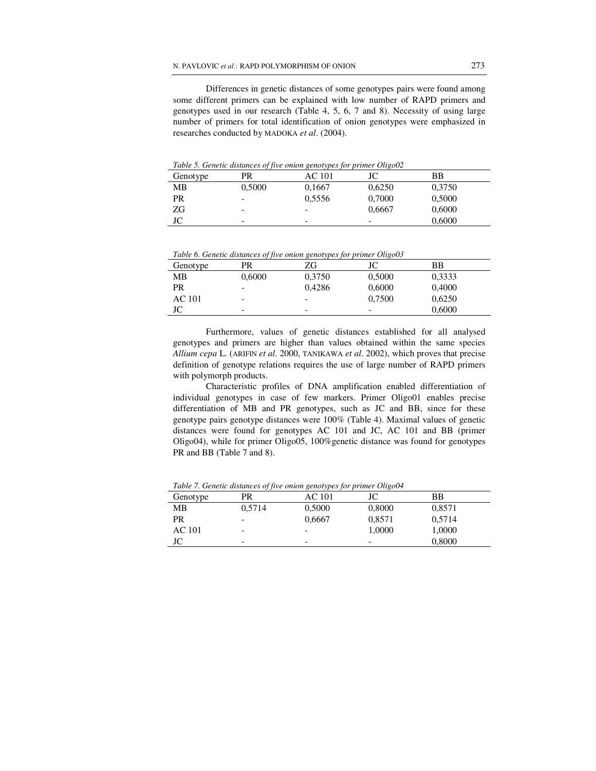Differences in genetic distances of some genotypes pairs were found among some different primers can be explained with low number of RAPD primers and genotypes used in our research (Table 4, 5, 6, 7 and 8). Necessity of using large number of primers for total identification of onion genotypes were emphasized in researches conducted by MADOKA *et al*. (2004).

Genotype PR AC 101 JC BB MB 0,5000 0,1667 0,6250 0,3750 PR - 0,5556 0,7000 0,5000  $\overline{ZG}$  - - 0,6667 0,6000  $JC$  -  $0,6000$ 

*Table 5. Genetic distances of five onion genotypes for primer Oligo02* 

*Table 6. Genetic distances of five onion genotypes for primer Oligo03* 

| Genotype | PR     | ZG     | JС     | BB     |
|----------|--------|--------|--------|--------|
| MВ       | 0,6000 | 0,3750 | 0,5000 | 0,3333 |
| PR       | -      | 0.4286 | 0,6000 | 0,4000 |
| AC 101   | -      | -      | 0.7500 | 0,6250 |
| JC       | -      | -      | -      | 0,6000 |

Furthermore, values of genetic distances established for all analysed genotypes and primers are higher than values obtained within the same species *Allium cepa* L. (ARIFIN *et al*. 2000, TANIKAWA *et al*. 2002), which proves that precise definition of genotype relations requires the use of large number of RAPD primers with polymorph products.

Characteristic profiles of DNA amplification enabled differentiation of individual genotypes in case of few markers. Primer Оligo01 enables precise differentiation of MB and PR genotypes, such as JC and BB, since for these genotype pairs genotype distances were 100% (Table 4). Maximal values of genetic distances were found for genotypes AC 101 and JC, AC 101 and BB (primer Оligo04), while for primer Оligo05, 100%genetic distance was found for genotypes PR and BB (Table 7 and 8).

Genotype PR AC 101 JC BB MB 0,5714 0,5000 0,8000 0,8571 PR - 0,6667 0,8571 0,5714 AC 101 - - 1,0000 1,0000  $JC$  -  $-$  0,8000

*Table 7. Genetic distances of five onion genotypes for primer Oligo04*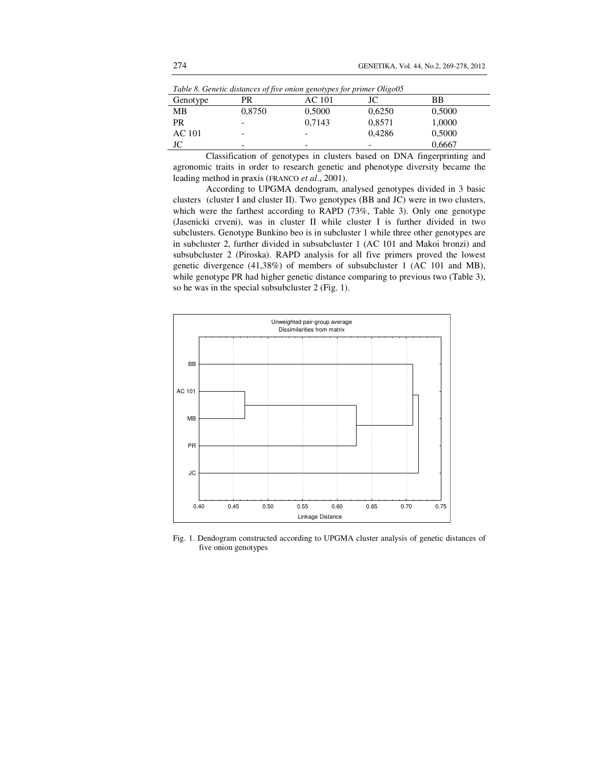| Lable 8. Genetic distances of five onion genotypes for primer OligoUS |        |               |        |        |  |
|-----------------------------------------------------------------------|--------|---------------|--------|--------|--|
| Genotype                                                              | PR     | <b>AC</b> 101 | JC     | BB     |  |
| MB                                                                    | 0,8750 | 0,5000        | 0,6250 | 0,5000 |  |
| <b>PR</b>                                                             |        | 0.7143        | 0,8571 | 1,0000 |  |
| AC 101                                                                |        | -             | 0.4286 | 0,5000 |  |
| JC                                                                    | -      | -             | -      | 0,6667 |  |

*Table 8. Genetic distances of five onion genotypes for primer Oligo05* 

Classification of genotypes in clusters based on DNA fingerprinting and agronomic traits in order to research genetic and phenotype diversity became the leading method in praxis (FRANCO *et al*., 2001).

According to UPGMA dendogram, analysed genotypes divided in 3 basic clusters (cluster I and cluster II). Two genotypes (BB and JC) were in two clusters, which were the farthest according to RAPD (73%, Table 3). Only one genotype (Јasenicki crveni), was in cluster II while cluster I is further divided in two subclusters. Genotype Bunkino beo is in subcluster 1 while three other genotypes are in subcluster 2, further divided in subsubcluster 1 (АC 101 and Makoi bronzi) and subsubcluster 2 (Piroska). RAPD analysis for all five primers proved the lowest genetic divergence (41,38%) of members of subsubcluster 1 (АC 101 and MB), while genotype PR had higher genetic distance comparing to previous two (Table 3), so he was in the special subsubcluster 2 (Fig. 1).



Fig. 1. Dendogram constructed according to UPGMA cluster analysis of genetic distances of five onion genotypes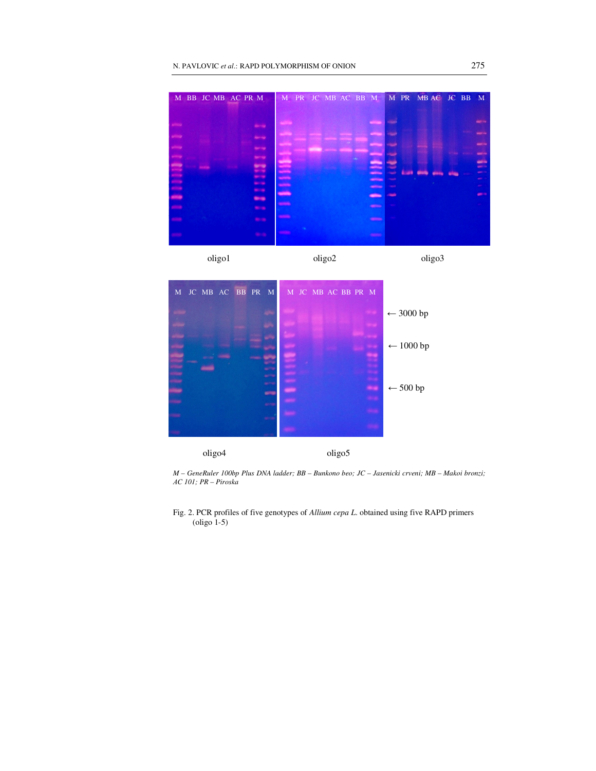

*M – GeneRuler 100bp Plus DNA ladder; BB – Bunkono beo; JC – Jasenicki crveni; MB – Makoi bronzi;*  А*C 101; PR – Piroska* 

Fig. 2. PCR profiles of five genotypes of *Allium cepa L*. obtained using five RAPD primers (oligo 1-5)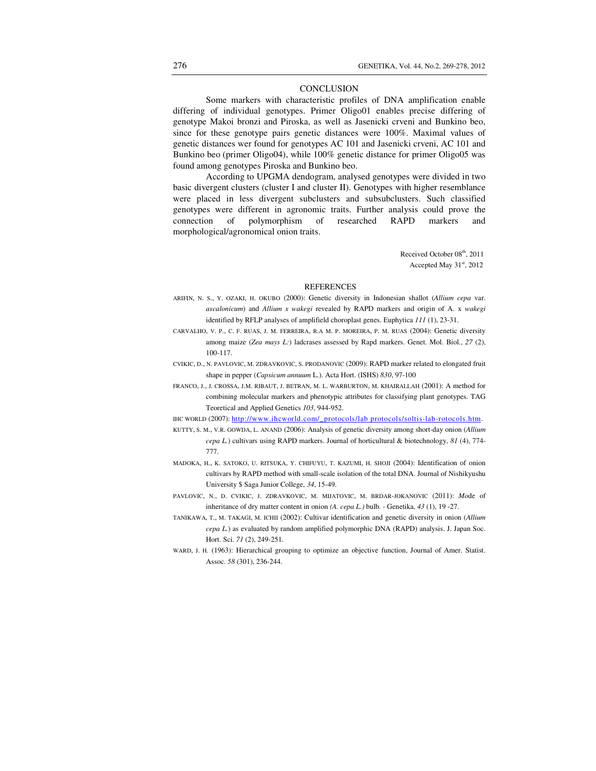#### **CONCLUSION**

Some markers with characteristic profiles of DNA amplification enable differing of individual genotypes. Primer Оligo01 enables precise differing of genotype Makoi bronzi and Piroska, as well as Jasenicki crveni and Bunkino beo, since for these genotype pairs genetic distances were 100%. Maximal values of genetic distances wer found for genotypes AC 101 and Jasenicki crveni, AC 101 and Bunkino beo (primer Оligo04), while 100% genetic distance for primer Оligo05 was found among genotypes Piroska and Bunkino beo.

According to UPGMA dendogram, analysed genotypes were divided in two basic divergent clusters (cluster I and cluster II). Genotypes with higher resemblance were placed in less divergent subclusters and subsubclusters. Such classified genotypes were different in agronomic traits. Further analysis could prove the connection of polymorphism of researched RAPD markers and morphological/agronomical onion traits.

> Received October 08<sup>th</sup>, 2011 Accepted May  $31<sup>st</sup>$ , 2012

#### **REFERENCES**

- ARIFIN, N. S., Y. OZAKI, H. OKUBO (2000): Genetic diversity in Indonesian shallot (*Allium cepa* var. *ascalonicum*) and *Allium x wakegi* revealed by RAPD markers and origin of A. x *wakegi*  identified by RFLP analyses of amplifield choroplast genes. Euphytica *111* (1), 23-31.
- CARVALHO, V. P., C. F. RUAS, J. M. FERREIRA, R.A M. P. MOREIRA, P. M. RUAS (2004): Genetic diversity among maize (*Zea mays L:*) ladcrases assessed by Rapd markers. Genet. Mol. Biol., *27* (2), 100-117.
- CVIKIC, D., N. PAVLOVIC, M. ZDRAVKOVIC, S. PRODANOVIC (2009): RAPD marker related to elongated fruit shape in pepper (*Capsicum annuum* L.). Acta Hort. (ISHS) *830*, 97-100
- FRANCO, J., J. CROSSA, J.M. RIBAUT, J. BETRAN, M. L. WARBURTON, M. KHAIRALLAH (2001): A method for combining molecular markers and phenotypic attributes for classifying plant genotypes. TAG Teoretical and Applied Genetics *103*, 944-952.
- IHC WORLD (2007): http://www.ihcworld.com/\_protocols/lab protocols/soltis-lab-rotocols.htm.
- KUTTY, S. M., V.R. GOWDA, L. ANAND (2006): Analysis of genetic diversity among short-day onion (*Allium cepa L.*) cultivars using RAPD markers. Journal of horticultural & biotechnology, *81* (4), 774- 777.
- MADOKA, H., K. SATOKO, U. RITSUKA, Y. CHIFUYU, T. KAZUMI, H. SHOJI (2004): Identification of onion cultivars by RAPD method with small-scale isolation of the total DNA. Journal of Nishikyushu University \$ Saga Junior College, *34*, 15-49.
- PAVLOVIC, N., D. CVIKIC, J. ZDRAVKOVIC, M. MIJATOVIC, M. BRDAR-JOKANOVIC (2011): *Mo*de of inheritance of dry matter content in onion *(A. cepa L.)* bulb*.* - Genetika, *43* (1), 19 -27.
- TANIKAWA, T., M. TAKAGI, M. ICHII (2002): Cultivar identification and genetic diversity in onion (*Allium cepa L.*) as evaluated by random amplified polymorphic DNA (RAPD) analysis. J. Japan Soc. Hort. Sci. *71* (2), 249-251.
- WARD, J. H. (1963): Hierarchical grouping to optimize an objective function, Journal of Amer. Statist. Assoc. *58* (301), 236-244.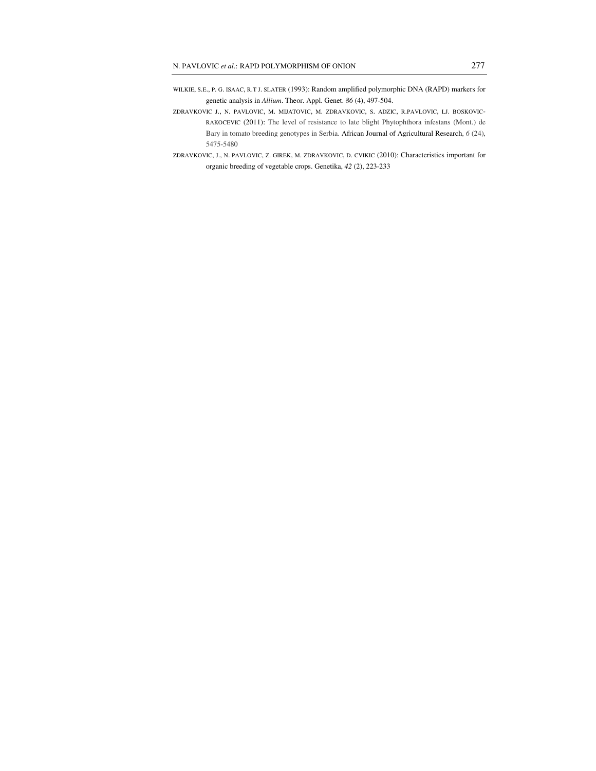- WILKIE, S.E., P. G. ISAAC, R.T J. SLATER (1993): Random amplified polymorphic DNA (RAPD) markers for genetic analysis in *Allium*. Theor. Appl. Genet. *86* (4), 497-504.
- ZDRAVKOVIC J., N. PAVLOVIC, M. MIJATOVIC, M. ZDRAVKOVIC, S. ADZIC, R.PAVLOVIC, LJ. BOSKOVIC-RAKOCEVIC (2011): The level of resistance to late blight Phytophthora infestans (Mont.) de Bary in tomato breeding genotypes in Serbia. African Journal of Agricultural Research, *6* (24), 5475-5480
- ZDRAVKOVIC, J., N. PAVLOVIC, Z. GIREK, M. ZDRAVKOVIC, D. CVIKIC (2010): Characteristics important for organic breeding of vegetable crops. Genetika, *42* (2), 223-233